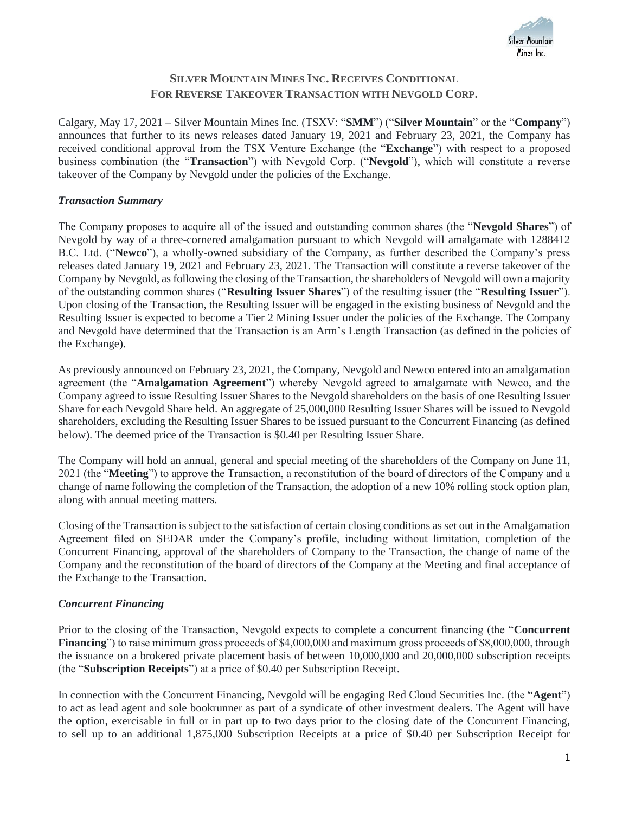

# **SILVER MOUNTAIN MINES INC. RECEIVES CONDITIONAL FOR REVERSE TAKEOVER TRANSACTION WITH NEVGOLD CORP.**

Calgary, May 17, 2021 – Silver Mountain Mines Inc. (TSXV: "**SMM**") ("**Silver Mountain**" or the "**Company**") announces that further to its news releases dated January 19, 2021 and February 23, 2021, the Company has received conditional approval from the TSX Venture Exchange (the "**Exchange**") with respect to a proposed business combination (the "**Transaction**") with Nevgold Corp. ("**Nevgold**"), which will constitute a reverse takeover of the Company by Nevgold under the policies of the Exchange.

## *Transaction Summary*

The Company proposes to acquire all of the issued and outstanding common shares (the "**Nevgold Shares**") of Nevgold by way of a three-cornered amalgamation pursuant to which Nevgold will amalgamate with 1288412 B.C. Ltd. ("**Newco**"), a wholly-owned subsidiary of the Company, as further described the Company's press releases dated January 19, 2021 and February 23, 2021. The Transaction will constitute a reverse takeover of the Company by Nevgold, as following the closing of the Transaction, the shareholders of Nevgold will own a majority of the outstanding common shares ("**Resulting Issuer Shares**") of the resulting issuer (the "**Resulting Issuer**"). Upon closing of the Transaction, the Resulting Issuer will be engaged in the existing business of Nevgold and the Resulting Issuer is expected to become a Tier 2 Mining Issuer under the policies of the Exchange. The Company and Nevgold have determined that the Transaction is an Arm's Length Transaction (as defined in the policies of the Exchange).

As previously announced on February 23, 2021, the Company, Nevgold and Newco entered into an amalgamation agreement (the "**Amalgamation Agreement**") whereby Nevgold agreed to amalgamate with Newco, and the Company agreed to issue Resulting Issuer Shares to the Nevgold shareholders on the basis of one Resulting Issuer Share for each Nevgold Share held. An aggregate of 25,000,000 Resulting Issuer Shares will be issued to Nevgold shareholders, excluding the Resulting Issuer Shares to be issued pursuant to the Concurrent Financing (as defined below). The deemed price of the Transaction is \$0.40 per Resulting Issuer Share.

The Company will hold an annual, general and special meeting of the shareholders of the Company on June 11, 2021 (the "**Meeting**") to approve the Transaction, a reconstitution of the board of directors of the Company and a change of name following the completion of the Transaction, the adoption of a new 10% rolling stock option plan, along with annual meeting matters.

Closing of the Transaction is subject to the satisfaction of certain closing conditions as set out in the Amalgamation Agreement filed on SEDAR under the Company's profile, including without limitation, completion of the Concurrent Financing, approval of the shareholders of Company to the Transaction, the change of name of the Company and the reconstitution of the board of directors of the Company at the Meeting and final acceptance of the Exchange to the Transaction.

#### *Concurrent Financing*

Prior to the closing of the Transaction, Nevgold expects to complete a concurrent financing (the "**Concurrent Financing**") to raise minimum gross proceeds of \$4,000,000 and maximum gross proceeds of \$8,000,000, through the issuance on a brokered private placement basis of between 10,000,000 and 20,000,000 subscription receipts (the "**Subscription Receipts**") at a price of \$0.40 per Subscription Receipt.

In connection with the Concurrent Financing, Nevgold will be engaging Red Cloud Securities Inc. (the "**Agent**") to act as lead agent and sole bookrunner as part of a syndicate of other investment dealers. The Agent will have the option, exercisable in full or in part up to two days prior to the closing date of the Concurrent Financing, to sell up to an additional 1,875,000 Subscription Receipts at a price of \$0.40 per Subscription Receipt for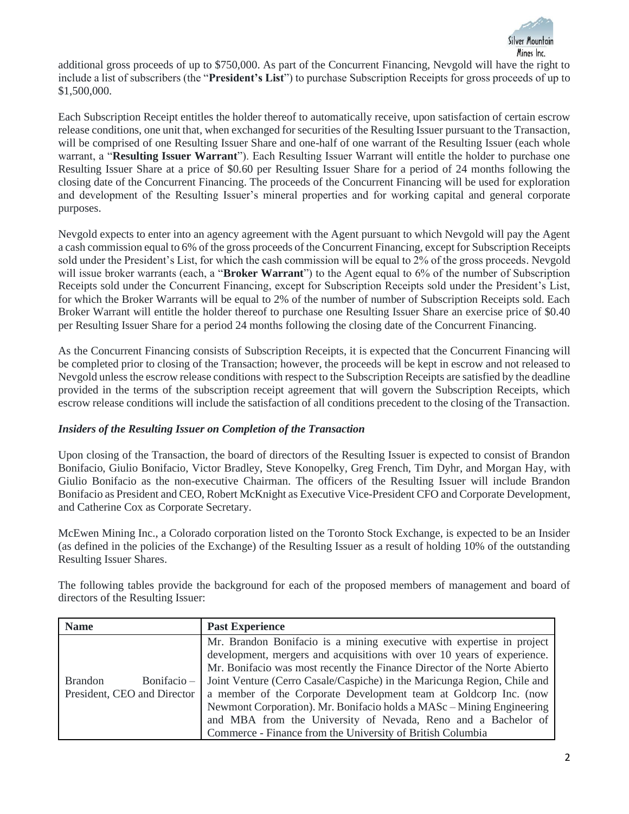

additional gross proceeds of up to \$750,000. As part of the Concurrent Financing, Nevgold will have the right to include a list of subscribers (the "**President's List**") to purchase Subscription Receipts for gross proceeds of up to \$1,500,000.

Each Subscription Receipt entitles the holder thereof to automatically receive, upon satisfaction of certain escrow release conditions, one unit that, when exchanged for securities of the Resulting Issuer pursuant to the Transaction, will be comprised of one Resulting Issuer Share and one-half of one warrant of the Resulting Issuer (each whole warrant, a "**Resulting Issuer Warrant**"). Each Resulting Issuer Warrant will entitle the holder to purchase one Resulting Issuer Share at a price of \$0.60 per Resulting Issuer Share for a period of 24 months following the closing date of the Concurrent Financing. The proceeds of the Concurrent Financing will be used for exploration and development of the Resulting Issuer's mineral properties and for working capital and general corporate purposes.

Nevgold expects to enter into an agency agreement with the Agent pursuant to which Nevgold will pay the Agent a cash commission equal to 6% of the gross proceeds of the Concurrent Financing, except for Subscription Receipts sold under the President's List, for which the cash commission will be equal to 2% of the gross proceeds. Nevgold will issue broker warrants (each, a "**Broker Warrant**") to the Agent equal to 6% of the number of Subscription Receipts sold under the Concurrent Financing, except for Subscription Receipts sold under the President's List, for which the Broker Warrants will be equal to 2% of the number of number of Subscription Receipts sold. Each Broker Warrant will entitle the holder thereof to purchase one Resulting Issuer Share an exercise price of \$0.40 per Resulting Issuer Share for a period 24 months following the closing date of the Concurrent Financing.

As the Concurrent Financing consists of Subscription Receipts, it is expected that the Concurrent Financing will be completed prior to closing of the Transaction; however, the proceeds will be kept in escrow and not released to Nevgold unless the escrow release conditions with respect to the Subscription Receipts are satisfied by the deadline provided in the terms of the subscription receipt agreement that will govern the Subscription Receipts, which escrow release conditions will include the satisfaction of all conditions precedent to the closing of the Transaction.

#### *Insiders of the Resulting Issuer on Completion of the Transaction*

Upon closing of the Transaction, the board of directors of the Resulting Issuer is expected to consist of Brandon Bonifacio, Giulio Bonifacio, Victor Bradley, Steve Konopelky, Greg French, Tim Dyhr, and Morgan Hay, with Giulio Bonifacio as the non-executive Chairman. The officers of the Resulting Issuer will include Brandon Bonifacio as President and CEO, Robert McKnight as Executive Vice-President CFO and Corporate Development, and Catherine Cox as Corporate Secretary.

McEwen Mining Inc., a Colorado corporation listed on the Toronto Stock Exchange, is expected to be an Insider (as defined in the policies of the Exchange) of the Resulting Issuer as a result of holding 10% of the outstanding Resulting Issuer Shares.

The following tables provide the background for each of the proposed members of management and board of directors of the Resulting Issuer:

| <b>Name</b>                     | <b>Past Experience</b>                                                    |
|---------------------------------|---------------------------------------------------------------------------|
|                                 | Mr. Brandon Bonifacio is a mining executive with expertise in project     |
|                                 | development, mergers and acquisitions with over 10 years of experience.   |
|                                 | Mr. Bonifacio was most recently the Finance Director of the Norte Abierto |
| <b>Brandon</b><br>Bonifacio $-$ | Joint Venture (Cerro Casale/Caspiche) in the Maricunga Region, Chile and  |
| President, CEO and Director     | a member of the Corporate Development team at Goldcorp Inc. (now          |
|                                 | Newmont Corporation). Mr. Bonifacio holds a MASc – Mining Engineering     |
|                                 | and MBA from the University of Nevada, Reno and a Bachelor of             |
|                                 | Commerce - Finance from the University of British Columbia                |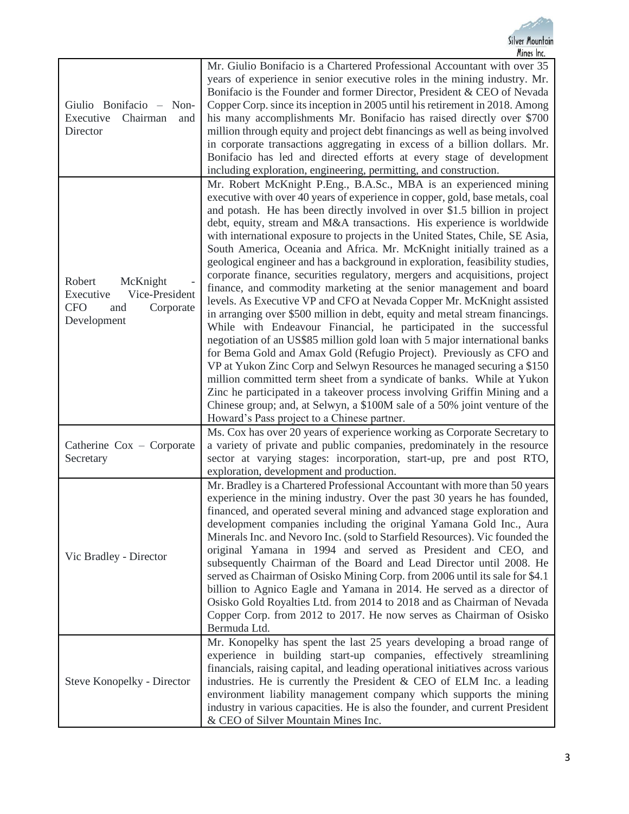

| Giulio Bonifacio - Non-<br>Executive<br>Chairman<br>and<br>Director                                | Mr. Giulio Bonifacio is a Chartered Professional Accountant with over 35<br>years of experience in senior executive roles in the mining industry. Mr.<br>Bonifacio is the Founder and former Director, President & CEO of Nevada<br>Copper Corp. since its inception in 2005 until his retirement in 2018. Among<br>his many accomplishments Mr. Bonifacio has raised directly over \$700<br>million through equity and project debt financings as well as being involved<br>in corporate transactions aggregating in excess of a billion dollars. Mr.<br>Bonifacio has led and directed efforts at every stage of development<br>including exploration, engineering, permitting, and construction.                                                                                                                                                                                                                                                                                                                                                                                                                                                                                                                                                                                                                                                                                                                                                              |
|----------------------------------------------------------------------------------------------------|------------------------------------------------------------------------------------------------------------------------------------------------------------------------------------------------------------------------------------------------------------------------------------------------------------------------------------------------------------------------------------------------------------------------------------------------------------------------------------------------------------------------------------------------------------------------------------------------------------------------------------------------------------------------------------------------------------------------------------------------------------------------------------------------------------------------------------------------------------------------------------------------------------------------------------------------------------------------------------------------------------------------------------------------------------------------------------------------------------------------------------------------------------------------------------------------------------------------------------------------------------------------------------------------------------------------------------------------------------------------------------------------------------------------------------------------------------------|
| McKnight<br>Robert<br>Vice-President<br>Executive<br><b>CFO</b><br>Corporate<br>and<br>Development | Mr. Robert McKnight P.Eng., B.A.Sc., MBA is an experienced mining<br>executive with over 40 years of experience in copper, gold, base metals, coal<br>and potash. He has been directly involved in over \$1.5 billion in project<br>debt, equity, stream and M&A transactions. His experience is worldwide<br>with international exposure to projects in the United States, Chile, SE Asia,<br>South America, Oceania and Africa. Mr. McKnight initially trained as a<br>geological engineer and has a background in exploration, feasibility studies,<br>corporate finance, securities regulatory, mergers and acquisitions, project<br>finance, and commodity marketing at the senior management and board<br>levels. As Executive VP and CFO at Nevada Copper Mr. McKnight assisted<br>in arranging over \$500 million in debt, equity and metal stream financings.<br>While with Endeavour Financial, he participated in the successful<br>negotiation of an US\$85 million gold loan with 5 major international banks<br>for Bema Gold and Amax Gold (Refugio Project). Previously as CFO and<br>VP at Yukon Zinc Corp and Selwyn Resources he managed securing a \$150<br>million committed term sheet from a syndicate of banks. While at Yukon<br>Zinc he participated in a takeover process involving Griffin Mining and a<br>Chinese group; and, at Selwyn, a \$100M sale of a 50% joint venture of the<br>Howard's Pass project to a Chinese partner. |
| Catherine $\cos -$ Corporate<br>Secretary                                                          | Ms. Cox has over 20 years of experience working as Corporate Secretary to<br>a variety of private and public companies, predominately in the resource<br>sector at varying stages: incorporation, start-up, pre and post RTO,<br>exploration, development and production.                                                                                                                                                                                                                                                                                                                                                                                                                                                                                                                                                                                                                                                                                                                                                                                                                                                                                                                                                                                                                                                                                                                                                                                        |
| Vic Bradley - Director                                                                             | Mr. Bradley is a Chartered Professional Accountant with more than 50 years<br>experience in the mining industry. Over the past 30 years he has founded,<br>financed, and operated several mining and advanced stage exploration and<br>development companies including the original Yamana Gold Inc., Aura<br>Minerals Inc. and Nevoro Inc. (sold to Starfield Resources). Vic founded the<br>original Yamana in 1994 and served as President and CEO, and<br>subsequently Chairman of the Board and Lead Director until 2008. He<br>served as Chairman of Osisko Mining Corp. from 2006 until its sale for \$4.1<br>billion to Agnico Eagle and Yamana in 2014. He served as a director of<br>Osisko Gold Royalties Ltd. from 2014 to 2018 and as Chairman of Nevada<br>Copper Corp. from 2012 to 2017. He now serves as Chairman of Osisko<br>Bermuda Ltd.                                                                                                                                                                                                                                                                                                                                                                                                                                                                                                                                                                                                     |
| Steve Konopelky - Director                                                                         | Mr. Konopelky has spent the last 25 years developing a broad range of<br>experience in building start-up companies, effectively streamlining<br>financials, raising capital, and leading operational initiatives across various<br>industries. He is currently the President $&$ CEO of ELM Inc. a leading<br>environment liability management company which supports the mining<br>industry in various capacities. He is also the founder, and current President<br>& CEO of Silver Mountain Mines Inc.                                                                                                                                                                                                                                                                                                                                                                                                                                                                                                                                                                                                                                                                                                                                                                                                                                                                                                                                                         |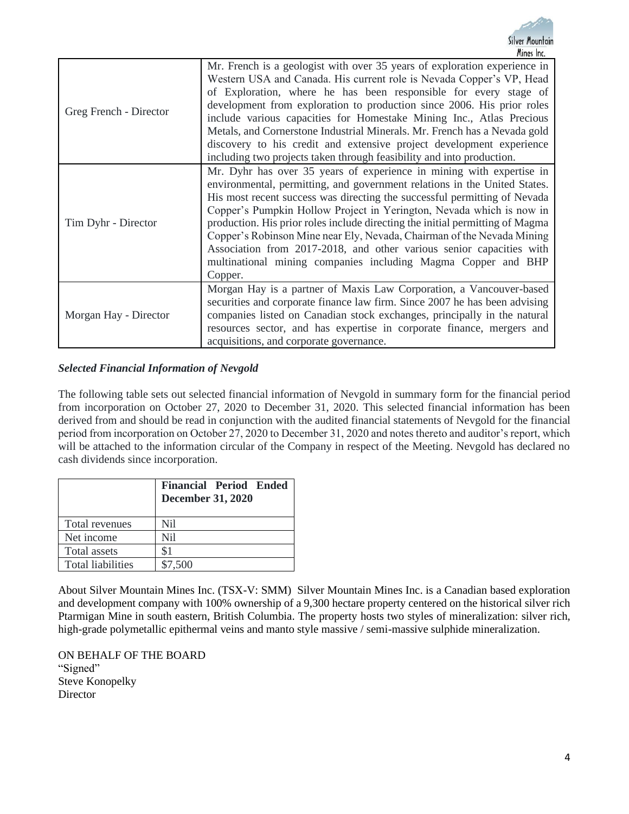

| Greg French - Director | Mr. French is a geologist with over 35 years of exploration experience in<br>Western USA and Canada. His current role is Nevada Copper's VP, Head<br>of Exploration, where he has been responsible for every stage of<br>development from exploration to production since 2006. His prior roles<br>include various capacities for Homestake Mining Inc., Atlas Precious<br>Metals, and Cornerstone Industrial Minerals. Mr. French has a Nevada gold<br>discovery to his credit and extensive project development experience<br>including two projects taken through feasibility and into production.                 |
|------------------------|-----------------------------------------------------------------------------------------------------------------------------------------------------------------------------------------------------------------------------------------------------------------------------------------------------------------------------------------------------------------------------------------------------------------------------------------------------------------------------------------------------------------------------------------------------------------------------------------------------------------------|
| Tim Dyhr - Director    | Mr. Dyhr has over 35 years of experience in mining with expertise in<br>environmental, permitting, and government relations in the United States.<br>His most recent success was directing the successful permitting of Nevada<br>Copper's Pumpkin Hollow Project in Yerington, Nevada which is now in<br>production. His prior roles include directing the initial permitting of Magma<br>Copper's Robinson Mine near Ely, Nevada, Chairman of the Nevada Mining<br>Association from 2017-2018, and other various senior capacities with<br>multinational mining companies including Magma Copper and BHP<br>Copper. |
| Morgan Hay - Director  | Morgan Hay is a partner of Maxis Law Corporation, a Vancouver-based<br>securities and corporate finance law firm. Since 2007 he has been advising<br>companies listed on Canadian stock exchanges, principally in the natural<br>resources sector, and has expertise in corporate finance, mergers and<br>acquisitions, and corporate governance.                                                                                                                                                                                                                                                                     |

## *Selected Financial Information of Nevgold*

The following table sets out selected financial information of Nevgold in summary form for the financial period from incorporation on October 27, 2020 to December 31, 2020. This selected financial information has been derived from and should be read in conjunction with the audited financial statements of Nevgold for the financial period from incorporation on October 27, 2020 to December 31, 2020 and notes thereto and auditor's report, which will be attached to the information circular of the Company in respect of the Meeting. Nevgold has declared no cash dividends since incorporation.

|                          | <b>Financial Period Ended</b><br><b>December 31, 2020</b> |
|--------------------------|-----------------------------------------------------------|
| Total revenues           | Nil                                                       |
| Net income               | N <sub>i</sub>                                            |
| Total assets             | \$1                                                       |
| <b>Total liabilities</b> | \$7,500                                                   |

About Silver Mountain Mines Inc. (TSX-V: SMM) Silver Mountain Mines Inc. is a Canadian based exploration and development company with 100% ownership of a 9,300 hectare property centered on the historical silver rich Ptarmigan Mine in south eastern, British Columbia. The property hosts two styles of mineralization: silver rich, high-grade polymetallic epithermal veins and manto style massive / semi-massive sulphide mineralization.

ON BEHALF OF THE BOARD "Signed" Steve Konopelky **Director**